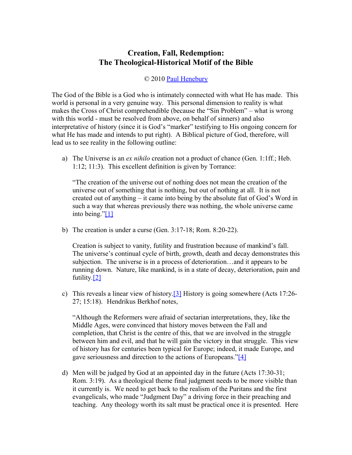## **Creation, Fall, Redemption: The Theological-Historical Motif of the Bible**

## © 2010 [Paul Henebury](http://www.spiritandtruth.org/id/ph.htm)

The God of the Bible is a God who is intimately connected with what He has made. This world is personal in a very genuine way. This personal dimension to reality is what makes the Cross of Christ comprehendible (because the "Sin Problem" – what is wrong with this world - must be resolved from above, on behalf of sinners) and also interpretative of history (since it is God's "marker" testifying to His ongoing concern for what He has made and intends to put right). A Biblical picture of God, therefore, will lead us to see reality in the following outline:

a) The Universe is an *ex nihilo* creation not a product of chance (Gen. 1:1ff.; Heb. 1:12; 11:3). This excellent definition is given by Torrance:

"The creation of the universe out of nothing does not mean the creation of the universe out of something that is nothing, but out of nothing at all. It is not created out of anything – it came into being by the absolute fiat of God's Word in such a way that whereas previously there was nothing, the whole universe came into being.["\[1\]](http://drreluctant.wordpress.com/wp-admin/#_edn1)

b) The creation is under a curse (Gen. 3:17-18; Rom. 8:20-22).

Creation is subject to vanity, futility and frustration because of mankind's fall. The universe's continual cycle of birth, growth, death and decay demonstrates this subjection. The universe is in a process of deterioration…and it appears to be running down. Nature, like mankind, is in a state of decay, deterioration, pain and futility[.\[2\]](http://drreluctant.wordpress.com/wp-admin/#_edn2)

c) This reveals a linear view of history[.\[3\]](http://drreluctant.wordpress.com/wp-admin/#_edn3) History is going somewhere (Acts 17:26- 27; 15:18). Hendrikus Berkhof notes,

"Although the Reformers were afraid of sectarian interpretations, they, like the Middle Ages, were convinced that history moves between the Fall and completion, that Christ is the centre of this, that we are involved in the struggle between him and evil, and that he will gain the victory in that struggle. This view of history has for centuries been typical for Europe; indeed, it made Europe, and gave seriousness and direction to the actions of Europeans.["\[4\]](http://drreluctant.wordpress.com/wp-admin/#_edn4)

d) Men will be judged by God at an appointed day in the future (Acts 17:30-31; Rom. 3:19). As a theological theme final judgment needs to be more visible than it currently is. We need to get back to the realism of the Puritans and the first evangelicals, who made "Judgment Day" a driving force in their preaching and teaching. Any theology worth its salt must be practical once it is presented. Here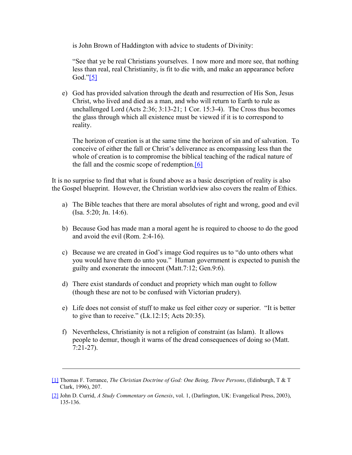is John Brown of Haddington with advice to students of Divinity:

"See that ye be real Christians yourselves. I now more and more see, that nothing less than real, real Christianity, is fit to die with, and make an appearance before God.["\[5\]](http://drreluctant.wordpress.com/wp-admin/#_edn5)

e) God has provided salvation through the death and resurrection of His Son, Jesus Christ, who lived and died as a man, and who will return to Earth to rule as unchallenged Lord (Acts 2:36; 3:13-21; 1 Cor. 15:3-4). The Cross thus becomes the glass through which all existence must be viewed if it is to correspond to reality.

The horizon of creation is at the same time the horizon of sin and of salvation. To conceive of either the fall or Christ's deliverance as encompassing less than the whole of creation is to compromise the biblical teaching of the radical nature of the fall and the cosmic scope of redemption[.\[6\]](http://drreluctant.wordpress.com/wp-admin/#_edn6)

It is no surprise to find that what is found above as a basic description of reality is also the Gospel blueprint. However, the Christian worldview also covers the realm of Ethics.

- a) The Bible teaches that there are moral absolutes of right and wrong, good and evil (Isa. 5:20; Jn. 14:6).
- b) Because God has made man a moral agent he is required to choose to do the good and avoid the evil (Rom. 2:4-16).
- c) Because we are created in God's image God requires us to "do unto others what you would have them do unto you." Human government is expected to punish the guilty and exonerate the innocent (Matt.7:12; Gen.9:6).
- d) There exist standards of conduct and propriety which man ought to follow (though these are not to be confused with Victorian prudery).
- e) Life does not consist of stuff to make us feel either cozy or superior. "It is better to give than to receive." (Lk.12:15; Acts 20:35).
- f) Nevertheless, Christianity is not a religion of constraint (as Islam). It allows people to demur, though it warns of the dread consequences of doing so (Matt. 7:21-27).

[<sup>\[1\]</sup>](http://drreluctant.wordpress.com/wp-admin/#_ednref1) Thomas F. Torrance, *The Christian Doctrine of God: One Being, Three Persons*, (Edinburgh, T & T Clark, 1996), 207.

[<sup>\[2\]</sup>](http://drreluctant.wordpress.com/wp-admin/#_ednref2) John D. Currid, *A Study Commentary on Genesis*, vol. 1, (Darlington, UK: Evangelical Press, 2003), 135-136.